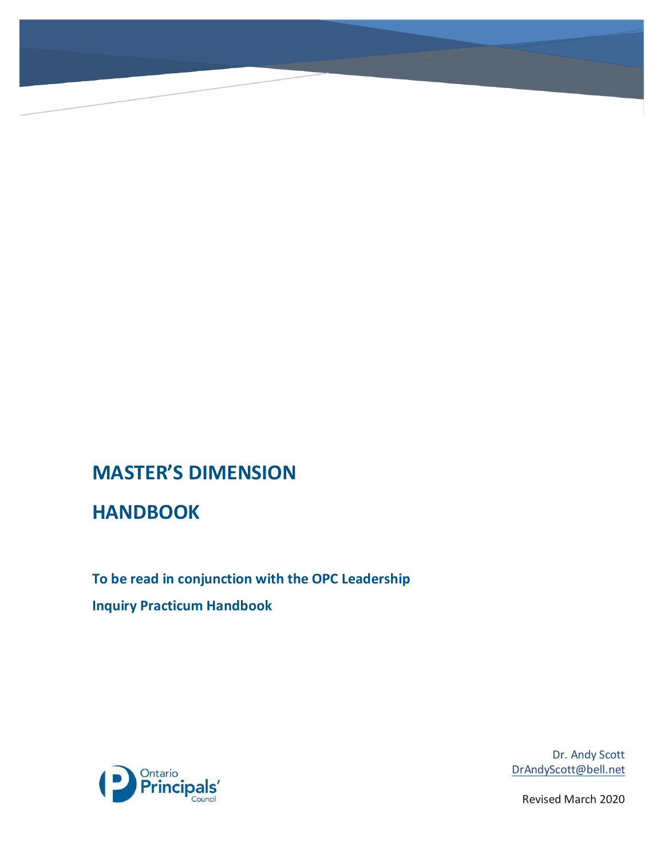# **MASTER'S DIMENSION**

**HANDBOOK**

**To be read in conjunction with the OPC Leadership Inquiry Practicum Handbook**



Dr. Andy Scott [DrAndyScott@bell.net](mailto:DrAndyScott@bell.net)

Revised March 2020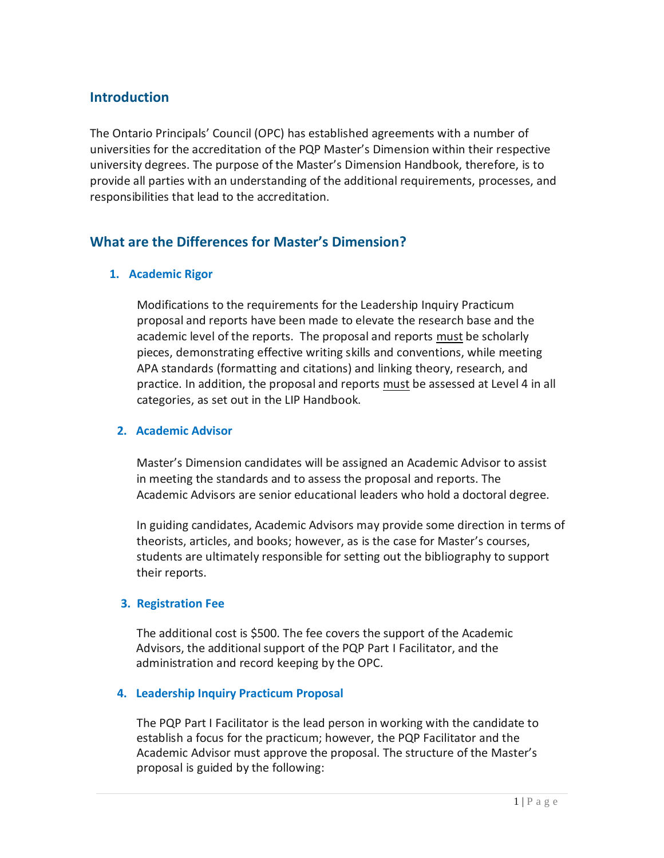# **Introduction**

The Ontario Principals' Council (OPC) has established agreements with a number of universities for the accreditation of the PQP Master's Dimension within their respective university degrees. The purpose of the Master's Dimension Handbook, therefore, is to provide all parties with an understanding of the additional requirements, processes, and responsibilities that lead to the accreditation.

# **What are the Differences for Master's Dimension?**

### **1. Academic Rigor**

Modifications to the requirements for the Leadership Inquiry Practicum proposal and reports have been made to elevate the research base and the academic level of the reports. The proposal and reports must be scholarly pieces, demonstrating effective writing skills and conventions, while meeting APA standards (formatting and citations) and linking theory, research, and practice. In addition, the proposal and reports must be assessed at Level 4 in all categories, as set out in the LIP Handbook.

### **2. Academic Advisor**

Master's Dimension candidates will be assigned an Academic Advisor to assist in meeting the standards and to assess the proposal and reports. The Academic Advisors are senior educational leaders who hold a doctoral degree.

In guiding candidates, Academic Advisors may provide some direction in terms of theorists, articles, and books; however, as is the case for Master's courses, students are ultimately responsible for setting out the bibliography to support their reports.

### **3. Registration Fee**

 The additional cost is \$500. The fee covers the support of the Academic Advisors, the additional support of the PQP Part I Facilitator, and the administration and record keeping by the OPC.

### **4. Leadership Inquiry Practicum Proposal**

 The PQP Part I Facilitator is the lead person in working with the candidate to establish a focus for the practicum; however, the PQP Facilitator and the Academic Advisor must approve the proposal. The structure of the Master's proposal is guided by the following: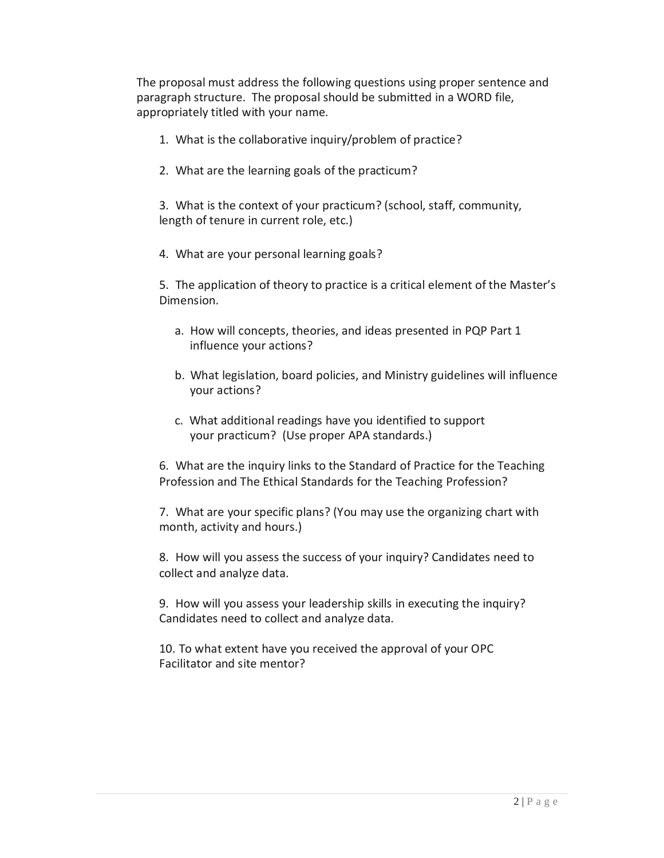The proposal must address the following questions using proper sentence and paragraph structure. The proposal should be submitted in a WORD file, appropriately titled with your name.

- 1. What is the collaborative inquiry/problem of practice?
- 2. What are the learning goals of the practicum?

3. What is the context of your practicum? (school, staff, community, length of tenure in current role, etc.)

4. What are your personal learning goals?

5. The application of theory to practice is a critical element of the Master's Dimension.

- a. How will concepts, theories, and ideas presented in PQP Part 1 influence your actions?
- b. What legislation, board policies, and Ministry guidelines will influence your actions?
- c. What additional readings have you identified to support your practicum? (Use proper APA standards.)

6. What are the inquiry links to the Standard of Practice for the Teaching Profession and The Ethical Standards for the Teaching Profession?

7. What are your specific plans? (You may use the organizing chart with month, activity and hours.)

8. How will you assess the success of your inquiry? Candidates need to collect and analyze data.

9. How will you assess your leadership skills in executing the inquiry? Candidates need to collect and analyze data.

10. To what extent have you received the approval of your OPC Facilitator and site mentor?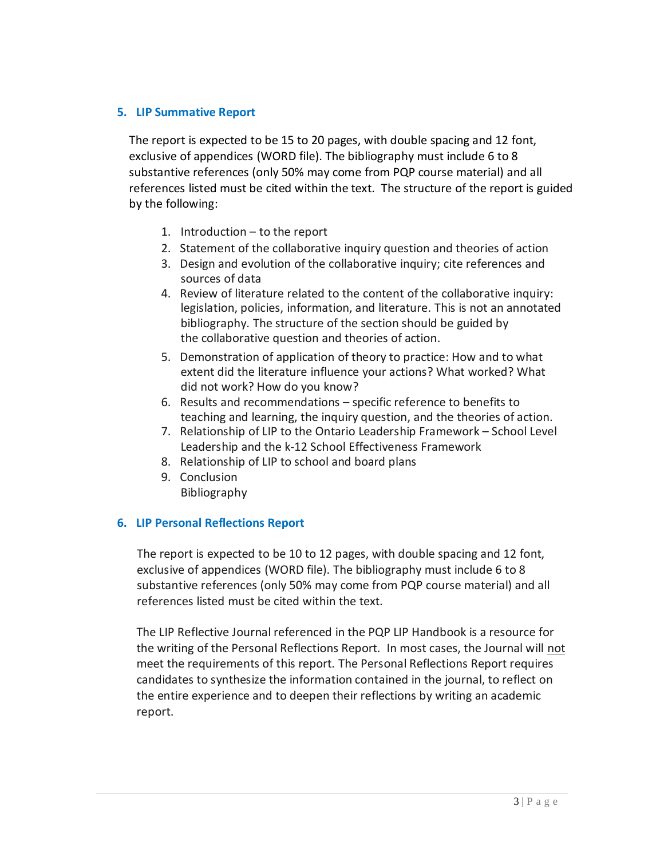### **5. LIP Summative Report**

The report is expected to be 15 to 20 pages, with double spacing and 12 font, exclusive of appendices (WORD file). The bibliography must include 6 to 8 substantive references (only 50% may come from PQP course material) and all references listed must be cited within the text. The structure of the report is guided by the following:

- 1. Introduction to the report
- 2. Statement of the collaborative inquiry question and theories of action
- 3. Design and evolution of the collaborative inquiry; cite references and sources of data
- 4. Review of literature related to the content of the collaborative inquiry: legislation, policies, information, and literature. This is not an annotated bibliography. The structure of the section should be guided by the collaborative question and theories of action.
- 5. Demonstration of application of theory to practice: How and to what extent did the literature influence your actions? What worked? What did not work? How do you know?
- 6. Results and recommendations specific reference to benefits to teaching and learning, the inquiry question, and the theories of action.
- 7. Relationship of LIP to the Ontario Leadership Framework School Level Leadership and the k-12 School Effectiveness Framework
- 8. Relationship of LIP to school and board plans
- 9. Conclusion Bibliography

### **6. LIP Personal Reflections Report**

The report is expected to be 10 to 12 pages, with double spacing and 12 font, exclusive of appendices (WORD file). The bibliography must include 6 to 8 substantive references (only 50% may come from PQP course material) and all references listed must be cited within the text.

The LIP Reflective Journal referenced in the PQP LIP Handbook is a resource for the writing of the Personal Reflections Report. In most cases, the Journal will not meet the requirements of this report. The Personal Reflections Report requires candidates to synthesize the information contained in the journal, to reflect on the entire experience and to deepen their reflections by writing an academic report.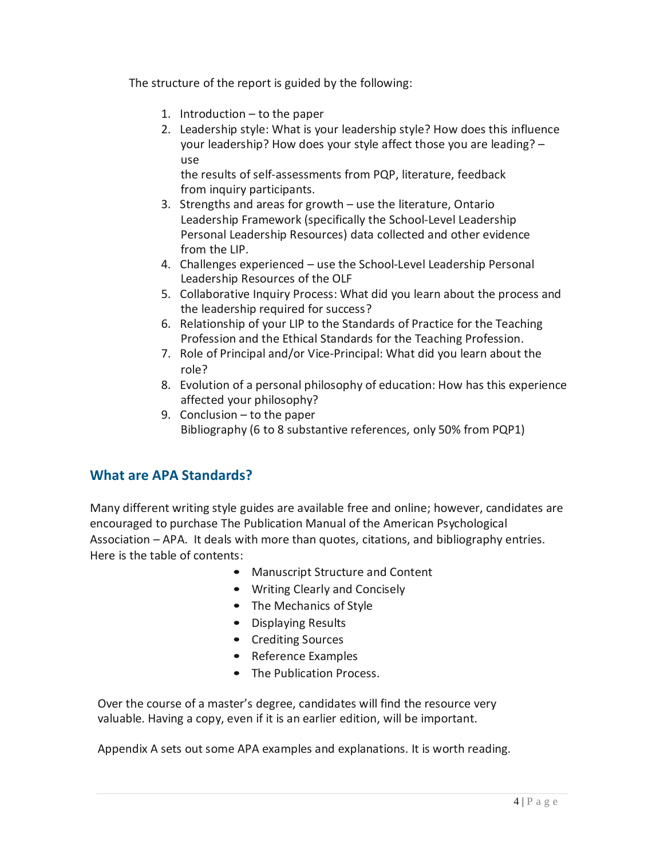The structure of the report is guided by the following:

- 1. Introduction to the paper
- 2. Leadership style: What is your leadership style? How does this influence your leadership? How does your style affect those you are leading? – use

the results of self-assessments from PQP, literature, feedback from inquiry participants.

- 3. Strengths and areas for growth use the literature, Ontario Leadership Framework (specifically the School-Level Leadership Personal Leadership Resources) data collected and other evidence from the LIP.
- 4. Challenges experienced use the School-Level Leadership Personal Leadership Resources of the OLF
- 5. Collaborative Inquiry Process: What did you learn about the process and the leadership required for success?
- 6. Relationship of your LIP to the Standards of Practice for the Teaching Profession and the Ethical Standards for the Teaching Profession.
- 7. Role of Principal and/or Vice-Principal: What did you learn about the role?
- 8. Evolution of a personal philosophy of education: How has this experience affected your philosophy?
- 9. Conclusion to the paper Bibliography (6 to 8 substantive references, only 50% from PQP1)

# **What are APA Standards?**

Many different writing style guides are available free and online; however, candidates are encouraged to purchase The Publication Manual of the American Psychological Association – APA. It deals with more than quotes, citations, and bibliography entries. Here is the table of contents:

- Manuscript Structure and Content
- Writing Clearly and Concisely
- The Mechanics of Style
- Displaying Results
- Crediting Sources
- Reference Examples
- The Publication Process.

Over the course of a master's degree, candidates will find the resource very valuable. Having a copy, even if it is an earlier edition, will be important.

Appendix A sets out some APA examples and explanations. It is worth reading.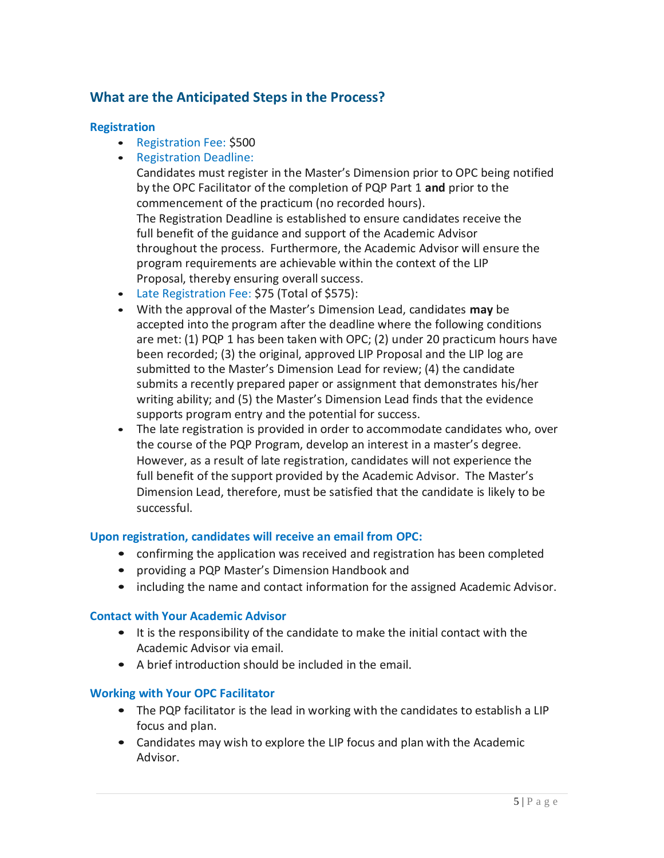# **What are the Anticipated Steps in the Process?**

### **Registration**

- Registration Fee: \$500
- Registration Deadline:

Candidates must register in the Master's Dimension prior to OPC being notified by the OPC Facilitator of the completion of PQP Part 1 **and** prior to the commencement of the practicum (no recorded hours). The Registration Deadline is established to ensure candidates receive the full benefit of the guidance and support of the Academic Advisor throughout the process. Furthermore, the Academic Advisor will ensure the program requirements are achievable within the context of the LIP Proposal, thereby ensuring overall success.

- Late Registration Fee: \$75 (Total of \$575):
- With the approval of the Master's Dimension Lead, candidates **may** be accepted into the program after the deadline where the following conditions are met: (1) PQP 1 has been taken with OPC; (2) under 20 practicum hours have been recorded; (3) the original, approved LIP Proposal and the LIP log are submitted to the Master's Dimension Lead for review; (4) the candidate submits a recently prepared paper or assignment that demonstrates his/her writing ability; and (5) the Master's Dimension Lead finds that the evidence supports program entry and the potential for success.
- The late registration is provided in order to accommodate candidates who, over the course of the PQP Program, develop an interest in a master's degree. However, as a result of late registration, candidates will not experience the full benefit of the support provided by the Academic Advisor. The Master's Dimension Lead, therefore, must be satisfied that the candidate is likely to be successful.

#### **Upon registration, candidates will receive an email from OPC:**

- confirming the application was received and registration has been completed
- providing a PQP Master's Dimension Handbook and
- including the name and contact information for the assigned Academic Advisor.

#### **Contact with Your Academic Advisor**

- It is the responsibility of the candidate to make the initial contact with the Academic Advisor via email.
- A brief introduction should be included in the email.

#### **Working with Your OPC Facilitator**

- The PQP facilitator is the lead in working with the candidates to establish a LIP focus and plan.
- Candidates may wish to explore the LIP focus and plan with the Academic Advisor.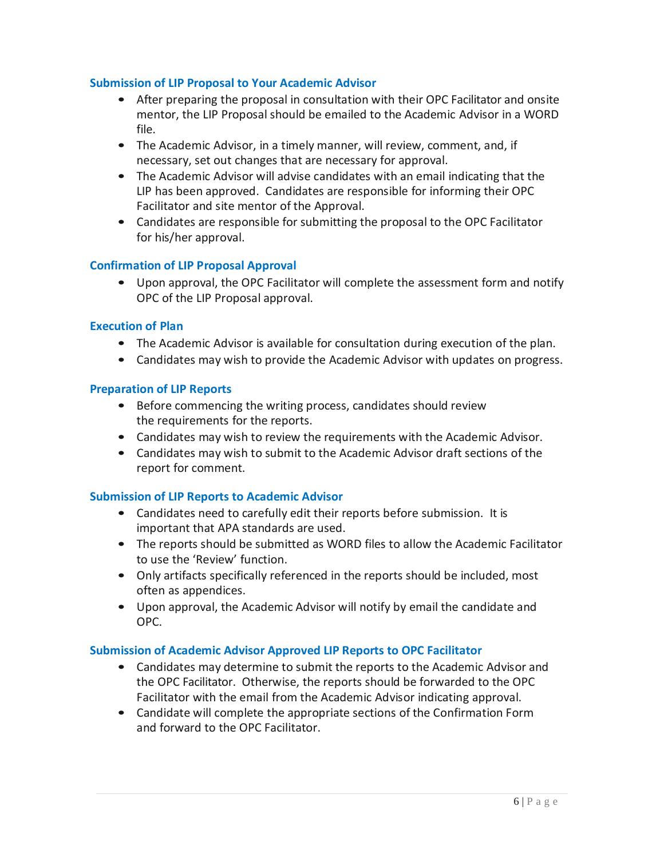### **Submission of LIP Proposal to Your Academic Advisor**

- After preparing the proposal in consultation with their OPC Facilitator and onsite mentor, the LIP Proposal should be emailed to the Academic Advisor in a WORD file.
- The Academic Advisor, in a timely manner, will review, comment, and, if necessary, set out changes that are necessary for approval.
- The Academic Advisor will advise candidates with an email indicating that the LIP has been approved. Candidates are responsible for informing their OPC Facilitator and site mentor of the Approval.
- Candidates are responsible for submitting the proposal to the OPC Facilitator for his/her approval.

### **Confirmation of LIP Proposal Approval**

• Upon approval, the OPC Facilitator will complete the assessment form and notify OPC of the LIP Proposal approval.

#### **Execution of Plan**

- The Academic Advisor is available for consultation during execution of the plan.
- Candidates may wish to provide the Academic Advisor with updates on progress.

#### **Preparation of LIP Reports**

- Before commencing the writing process, candidates should review the requirements for the reports.
- Candidates may wish to review the requirements with the Academic Advisor.
- Candidates may wish to submit to the Academic Advisor draft sections of the report for comment.

#### **Submission of LIP Reports to Academic Advisor**

- Candidates need to carefully edit their reports before submission. It is important that APA standards are used.
- The reports should be submitted as WORD files to allow the Academic Facilitator to use the 'Review' function.
- Only artifacts specifically referenced in the reports should be included, most often as appendices.
- Upon approval, the Academic Advisor will notify by email the candidate and OPC.

#### **Submission of Academic Advisor Approved LIP Reports to OPC Facilitator**

- Candidates may determine to submit the reports to the Academic Advisor and the OPC Facilitator. Otherwise, the reports should be forwarded to the OPC Facilitator with the email from the Academic Advisor indicating approval.
- Candidate will complete the appropriate sections of the Confirmation Form and forward to the OPC Facilitator.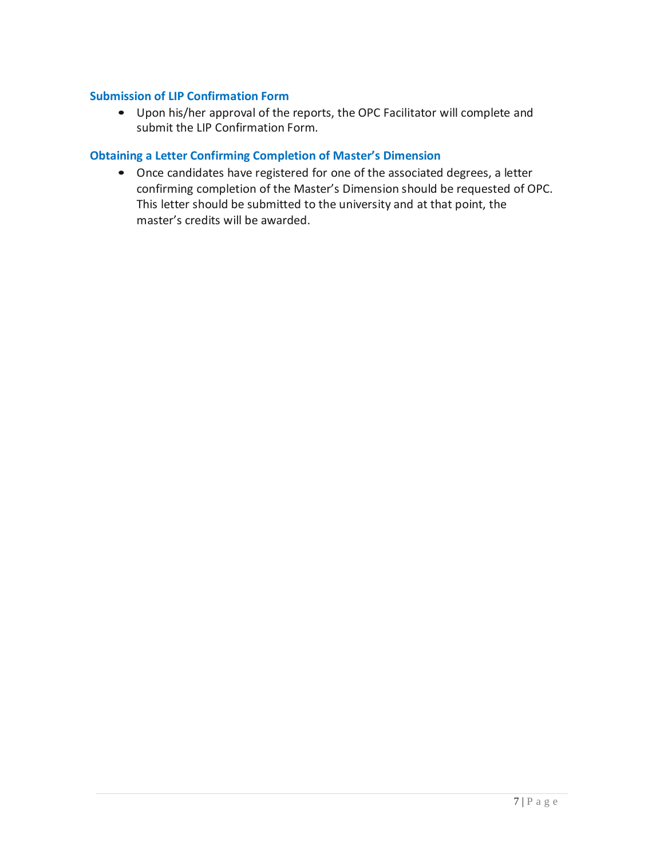#### **Submission of LIP Confirmation Form**

• Upon his/her approval of the reports, the OPC Facilitator will complete and submit the LIP Confirmation Form.

### **Obtaining a Letter Confirming Completion of Master's Dimension**

• Once candidates have registered for one of the associated degrees, a letter confirming completion of the Master's Dimension should be requested of OPC. This letter should be submitted to the university and at that point, the master's credits will be awarded.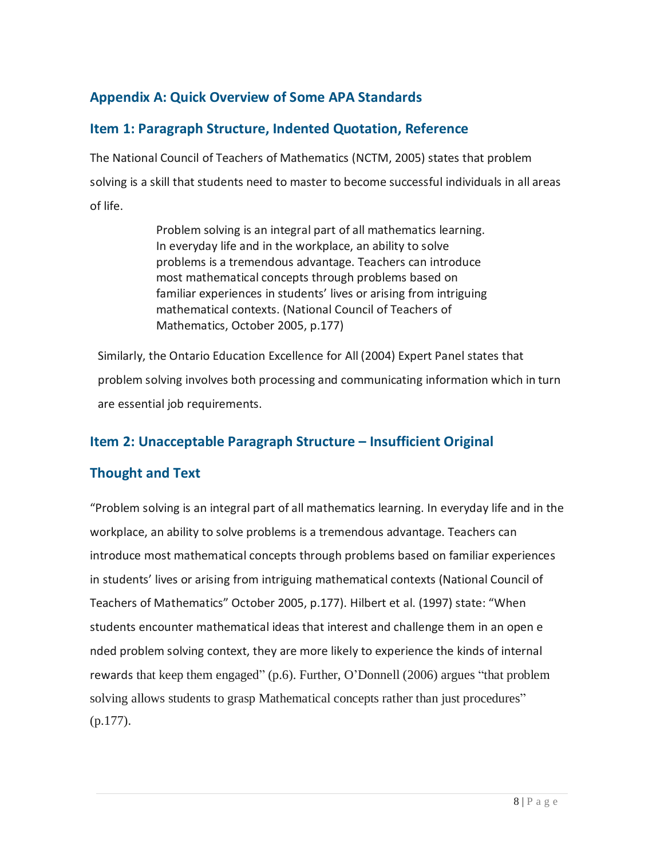# **Appendix A: Quick Overview of Some APA Standards**

# **Item 1: Paragraph Structure, Indented Quotation, Reference**

The National Council of Teachers of Mathematics (NCTM, 2005) states that problem solving is a skill that students need to master to become successful individuals in all areas of life.

> Problem solving is an integral part of all mathematics learning. In everyday life and in the workplace, an ability to solve problems is a tremendous advantage. Teachers can introduce most mathematical concepts through problems based on familiar experiences in students' lives or arising from intriguing mathematical contexts. (National Council of Teachers of Mathematics, October 2005, p.177)

Similarly, the Ontario Education Excellence for All (2004) Expert Panel states that problem solving involves both processing and communicating information which in turn are essential job requirements.

# **Item 2: Unacceptable Paragraph Structure – Insufficient Original**

# **Thought and Text**

"Problem solving is an integral part of all mathematics learning. In everyday life and in the workplace, an ability to solve problems is a tremendous advantage. Teachers can introduce most mathematical concepts through problems based on familiar experiences in students' lives or arising from intriguing mathematical contexts (National Council of Teachers of Mathematics" October 2005, p.177). Hilbert et al. (1997) state: "When students encounter mathematical ideas that interest and challenge them in an open e nded problem solving context, they are more likely to experience the kinds of internal rewards that keep them engaged" (p.6). Further, O'Donnell (2006) argues "that problem solving allows students to grasp Mathematical concepts rather than just procedures" (p.177).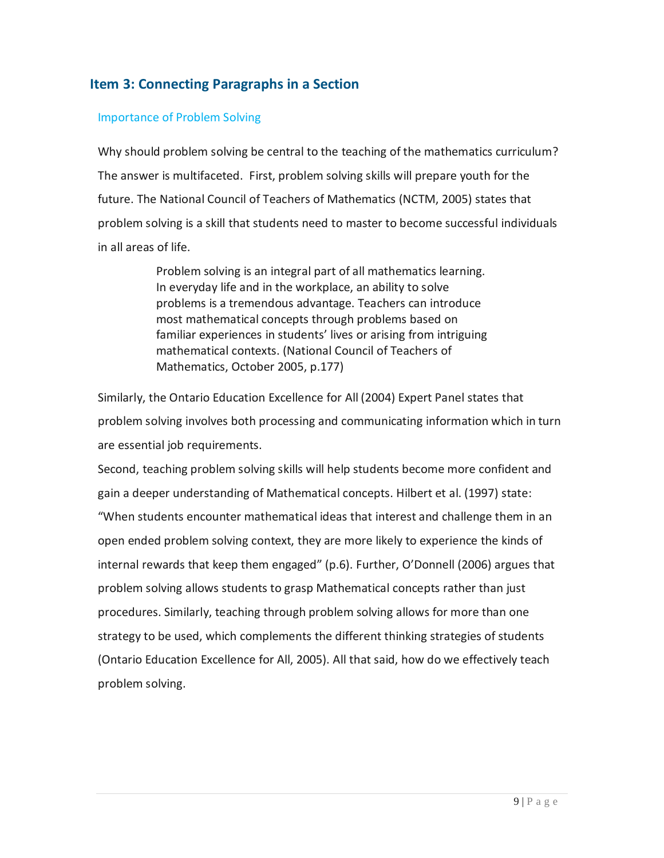# **Item 3: Connecting Paragraphs in a Section**

### Importance of Problem Solving

Why should problem solving be central to the teaching of the mathematics curriculum? The answer is multifaceted. First, problem solving skills will prepare youth for the future. The National Council of Teachers of Mathematics (NCTM, 2005) states that problem solving is a skill that students need to master to become successful individuals in all areas of life.

> Problem solving is an integral part of all mathematics learning. In everyday life and in the workplace, an ability to solve problems is a tremendous advantage. Teachers can introduce most mathematical concepts through problems based on familiar experiences in students' lives or arising from intriguing mathematical contexts. (National Council of Teachers of Mathematics, October 2005, p.177)

Similarly, the Ontario Education Excellence for All (2004) Expert Panel states that problem solving involves both processing and communicating information which in turn are essential job requirements.

Second, teaching problem solving skills will help students become more confident and gain a deeper understanding of Mathematical concepts. Hilbert et al. (1997) state: "When students encounter mathematical ideas that interest and challenge them in an open ended problem solving context, they are more likely to experience the kinds of internal rewards that keep them engaged" (p.6). Further, O'Donnell (2006) argues that problem solving allows students to grasp Mathematical concepts rather than just procedures. Similarly, teaching through problem solving allows for more than one strategy to be used, which complements the different thinking strategies of students (Ontario Education Excellence for All, 2005). All that said, how do we effectively teach problem solving.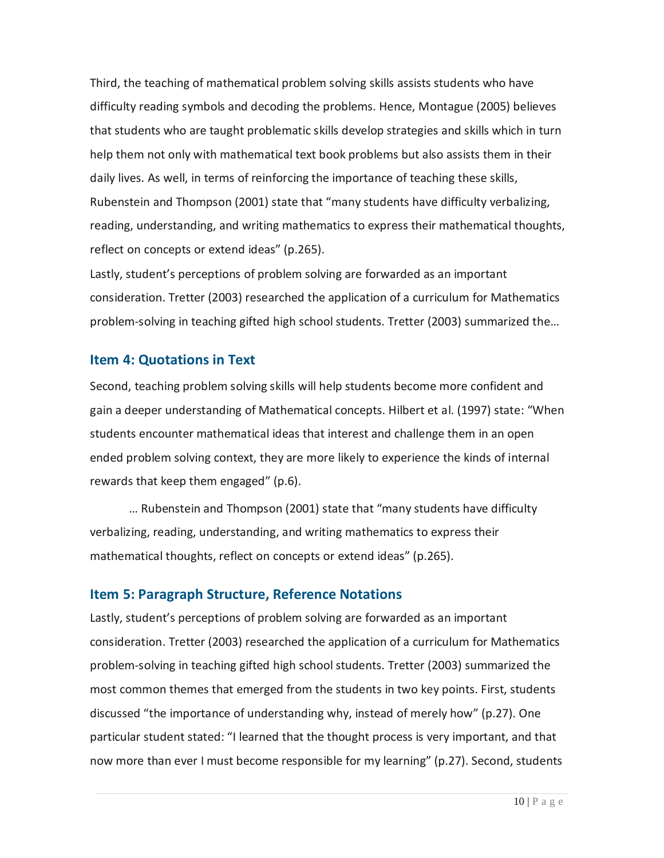Third, the teaching of mathematical problem solving skills assists students who have difficulty reading symbols and decoding the problems. Hence, Montague (2005) believes that students who are taught problematic skills develop strategies and skills which in turn help them not only with mathematical text book problems but also assists them in their daily lives. As well, in terms of reinforcing the importance of teaching these skills, Rubenstein and Thompson (2001) state that "many students have difficulty verbalizing, reading, understanding, and writing mathematics to express their mathematical thoughts, reflect on concepts or extend ideas" (p.265).

Lastly, student's perceptions of problem solving are forwarded as an important consideration. Tretter (2003) researched the application of a curriculum for Mathematics problem-solving in teaching gifted high school students. Tretter (2003) summarized the...

### **Item 4: Quotations in Text**

Second, teaching problem solving skills will help students become more confident and gain a deeper understanding of Mathematical concepts. Hilbert et al. (1997) state: "When students encounter mathematical ideas that interest and challenge them in an open ended problem solving context, they are more likely to experience the kinds of internal rewards that keep them engaged" (p.6).

… Rubenstein and Thompson (2001) state that "many students have difficulty verbalizing, reading, understanding, and writing mathematics to express their mathematical thoughts, reflect on concepts or extend ideas" (p.265).

# **Item 5: Paragraph Structure, Reference Notations**

Lastly, student's perceptions of problem solving are forwarded as an important consideration. Tretter (2003) researched the application of a curriculum for Mathematics problem-solving in teaching gifted high schoolstudents. Tretter (2003) summarized the most common themes that emerged from the students in two key points. First, students discussed "the importance of understanding why, instead of merely how" (p.27). One particular student stated: "I learned that the thought process is very important, and that now more than ever I must become responsible for my learning" (p.27). Second, students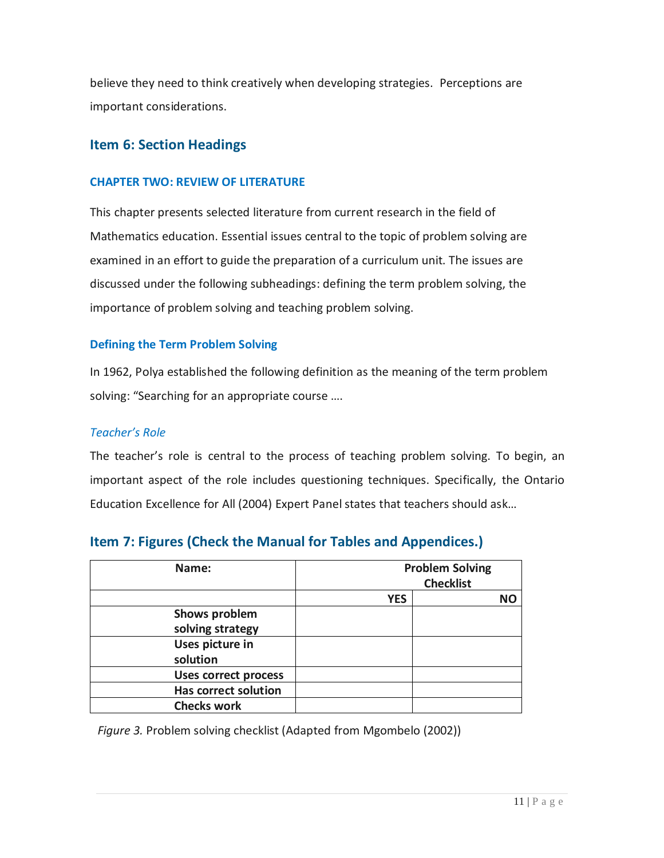believe they need to think creatively when developing strategies. Perceptions are important considerations.

# **Item 6: Section Headings**

#### **CHAPTER TWO: REVIEW OF LITERATURE**

This chapter presents selected literature from current research in the field of Mathematics education. Essential issues central to the topic of problem solving are examined in an effort to guide the preparation of a curriculum unit. The issues are discussed under the following subheadings: defining the term problem solving, the importance of problem solving and teaching problem solving.

#### **Defining the Term Problem Solving**

In 1962, Polya established the following definition as the meaning of the term problem solving: "Searching for an appropriate course ….

#### *Teacher's Role*

The teacher's role is central to the process of teaching problem solving. To begin, an important aspect of the role includes questioning techniques. Specifically, the Ontario Education Excellence for All (2004) Expert Panel states that teachers should ask...

| Name:                             | <b>Problem Solving</b><br><b>Checklist</b> |    |
|-----------------------------------|--------------------------------------------|----|
|                                   | <b>YES</b>                                 | NO |
| Shows problem<br>solving strategy |                                            |    |
| Uses picture in<br>solution       |                                            |    |
| <b>Uses correct process</b>       |                                            |    |
| <b>Has correct solution</b>       |                                            |    |
| <b>Checks work</b>                |                                            |    |

# **Item 7: Figures (Check the Manual for Tables and Appendices.)**

*Figure 3.* Problem solving checklist (Adapted from Mgombelo (2002))